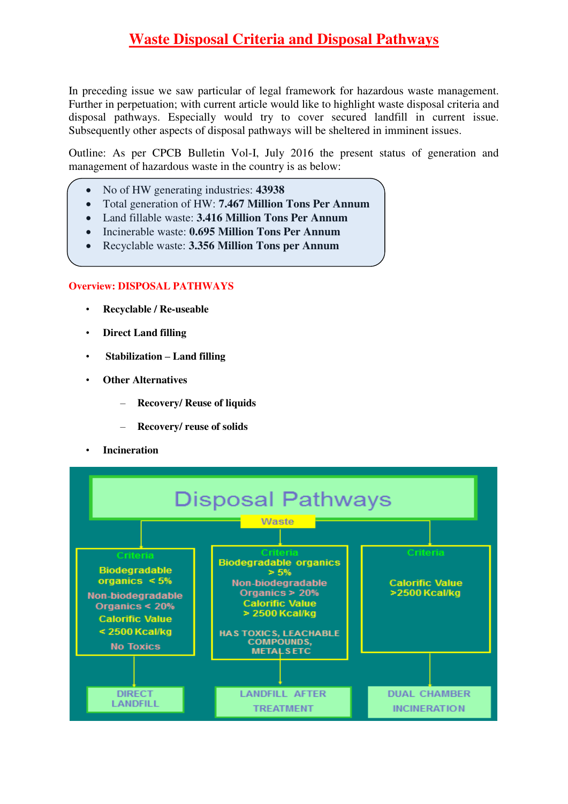In preceding issue we saw particular of legal framework for hazardous waste management. Further in perpetuation; with current article would like to highlight waste disposal criteria and disposal pathways. Especially would try to cover secured landfill in current issue. Subsequently other aspects of disposal pathways will be sheltered in imminent issues.

Outline: As per CPCB Bulletin Vol-I, July 2016 the present status of generation and management of hazardous waste in the country is as below:

- No of HW generating industries: **43938**
- Total generation of HW: **7.467 Million Tons Per Annum**
- Land fillable waste: **3.416 Million Tons Per Annum**
- Incinerable waste: **0.695 Million Tons Per Annum**
- Recyclable waste: **3.356 Million Tons per Annum**

### **Overview: DISPOSAL PATHWAYS**

- **Recyclable / Re-useable**
- **Direct Land filling**
- • **Stabilization – Land filling**
- **Other Alternatives**
	- **Recovery/ Reuse of liquids**
	- **Recovery/ reuse of solids**
- **Incineration**

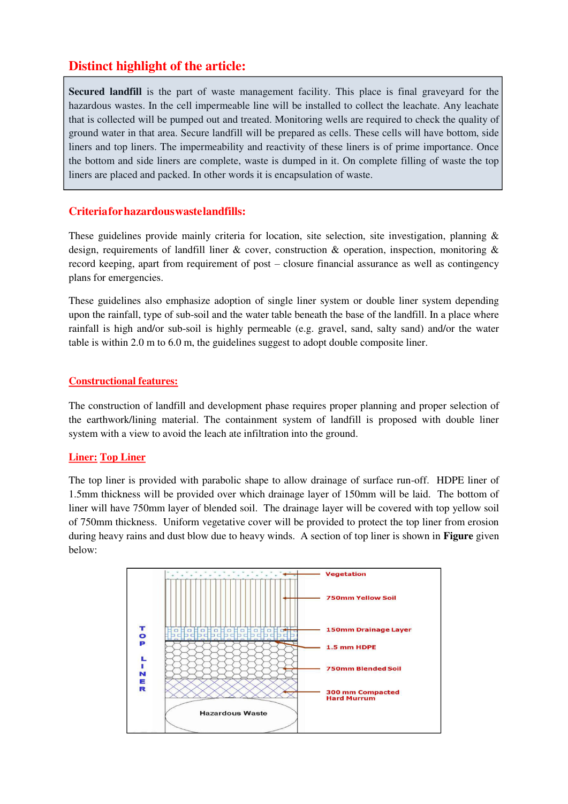# **Distinct highlight of the article:**

**Secured landfill** is the part of waste management facility. This place is final graveyard for the hazardous wastes. In the cell impermeable line will be installed to collect the leachate. Any leachate that is collected will be pumped out and treated. Monitoring wells are required to check the quality of ground water in that area. Secure landfill will be prepared as cells. These cells will have bottom, side liners and top liners. The impermeability and reactivity of these liners is of prime importance. Once the bottom and side liners are complete, waste is dumped in it. On complete filling of waste the top liners are placed and packed. In other words it is encapsulation of waste.

## **Criteria for hazardous waste landfills:**

These guidelines provide mainly criteria for location, site selection, site investigation, planning  $\&$ design, requirements of landfill liner  $\&$  cover, construction  $\&$  operation, inspection, monitoring  $\&$ record keeping, apart from requirement of post – closure financial assurance as well as contingency plans for emergencies.

These guidelines also emphasize adoption of single liner system or double liner system depending upon the rainfall, type of sub-soil and the water table beneath the base of the landfill. In a place where rainfall is high and/or sub-soil is highly permeable (e.g. gravel, sand, salty sand) and/or the water table is within 2.0 m to 6.0 m, the guidelines suggest to adopt double composite liner.

#### **Constructional features:**

The construction of landfill and development phase requires proper planning and proper selection of the earthwork/lining material. The containment system of landfill is proposed with double liner system with a view to avoid the leach ate infiltration into the ground.

#### **Liner: Top Liner**

The top liner is provided with parabolic shape to allow drainage of surface run-off. HDPE liner of 1.5mm thickness will be provided over which drainage layer of 150mm will be laid. The bottom of liner will have 750mm layer of blended soil. The drainage layer will be covered with top yellow soil of 750mm thickness. Uniform vegetative cover will be provided to protect the top liner from erosion during heavy rains and dust blow due to heavy winds. A section of top liner is shown in **Figure** given below:

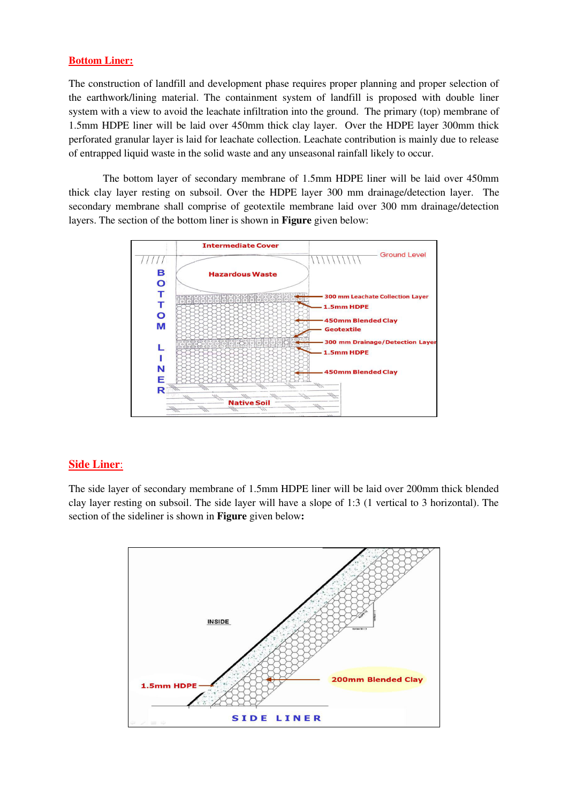#### **Bottom Liner:**

The construction of landfill and development phase requires proper planning and proper selection of the earthwork/lining material. The containment system of landfill is proposed with double liner system with a view to avoid the leachate infiltration into the ground. The primary (top) membrane of 1.5mm HDPE liner will be laid over 450mm thick clay layer. Over the HDPE layer 300mm thick perforated granular layer is laid for leachate collection. Leachate contribution is mainly due to release of entrapped liquid waste in the solid waste and any unseasonal rainfall likely to occur.

The bottom layer of secondary membrane of 1.5mm HDPE liner will be laid over 450mm thick clay layer resting on subsoil. Over the HDPE layer 300 mm drainage/detection layer. The secondary membrane shall comprise of geotextile membrane laid over 300 mm drainage/detection layers. The section of the bottom liner is shown in **Figure** given below:



#### **Side Liner**:

The side layer of secondary membrane of 1.5mm HDPE liner will be laid over 200mm thick blended clay layer resting on subsoil. The side layer will have a slope of 1:3 (1 vertical to 3 horizontal). The section of the sideliner is shown in **Figure** given below**:**